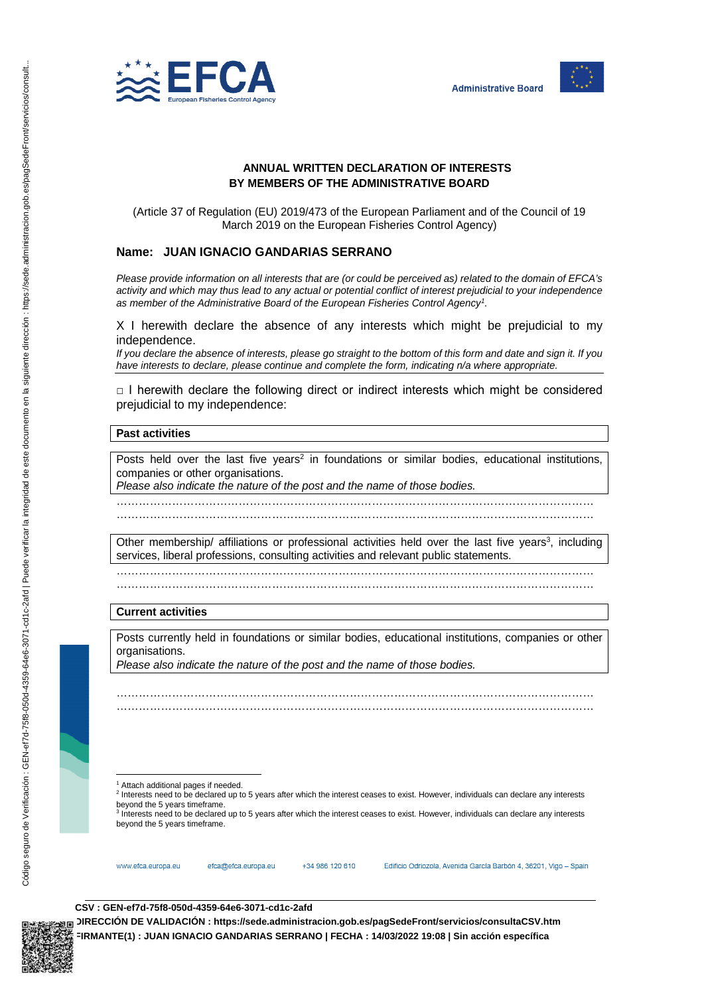



# **ANNUAL WRITTEN DECLARATION OF INTERESTS BY MEMBERS OF THE ADMINISTRATIVE BOARD**

(Article 37 of Regulation (EU) 2019/473 of the European Parliament and of the Council of 19 March 2019 on the European Fisheries Control Agency)

## **Name: JUAN IGNACIO GANDARIAS SERRANO**

*Please provide information on all interests that are (or could be perceived as) related to the domain of EFCA's activity and which may thus lead to any actual or potential conflict of interest prejudicial to your independence as member of the Administrative Board of the European Fisheries Control Agency<sup>1</sup> .* 

X I herewith declare the absence of any interests which might be prejudicial to my independence.

*If you declare the absence of interests, please go straight to the bottom of this form and date and sign it. If you have interests to declare, please continue and complete the form, indicating n/a where appropriate.* 

 $\Box$  I herewith declare the following direct or indirect interests which might be considered prejudicial to my independence:

## **Past activities**

Posts held over the last five years<sup>2</sup> in foundations or similar bodies, educational institutions, companies or other organisations.

………………………………………………………………………………………………………………… …………………………………………………………………………………………………………………

*Please also indicate the nature of the post and the name of those bodies.* 

Other membership/ affiliations or professional activities held over the last five years<sup>3</sup>, including services, liberal professions, consulting activities and relevant public statements.

………………………………………………………………………………………………………………… …………………………………………………………………………………………………………………

#### **Current activities**

Posts currently held in foundations or similar bodies, educational institutions, companies or other organisations.

………………………………………………………………………………………………………………… …………………………………………………………………………………………………………………

*Please also indicate the nature of the post and the name of those bodies.*

l <sup>1</sup> Attach additional pages if needed.

<sup>2</sup> Interests need to be declared up to 5 years after which the interest ceases to exist. However, individuals can declare any interests beyond the 5 years timeframe.

<sup>3</sup> Interests need to be declared up to 5 years after which the interest ceases to exist. However, individuals can declare any interests beyond the 5 years timeframe.



efca@efca.europa.eu

+34 986 120 610

Edificio Odriozola, Avenida García Barbón 4, 36201, Vigo - Spain

#### **CSV : GEN-ef7d-75f8-050d-4359-64e6-3071-cd1c-2afd**

**DIRECCIÓN DE VALIDACIÓN : https://sede.administracion.gob.es/pagSedeFront/servicios/consultaCSV.htm FIRMANTE(1) : JUAN IGNACIO GANDARIAS SERRANO | FECHA : 14/03/2022 19:08 | Sin acción específica**